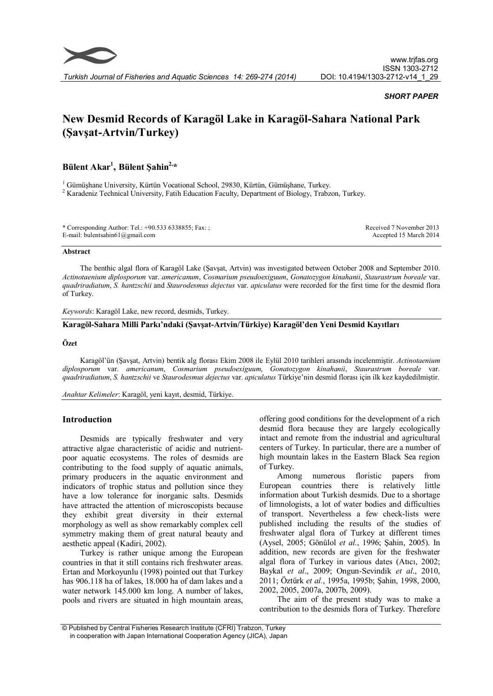

# SHORT PAPER

# New Desmid Records of Karagöl Lake in Karagöl-Sahara National Park (Şavşat-Artvin/Turkey)

# Bülent Akar<sup>1</sup>, Bülent Şahin<sup>2,\*</sup>

 $^1$ Gümüşhane University, Kürtün Vocational School, 29830, Kürtün, Gümüşhane, Turkey.  $^2$  Karadeniz Technical University, Fatih Education Faculty, Department of Biology, Trabzon, Turkey.

| * Corresponding Author: Tel.: +90.533 6338855; Fax: ; | Received 7 November 2013 |
|-------------------------------------------------------|--------------------------|
| E-mail: bulentsahin61@gmail.com                       | Accepted 15 March 2014   |

#### Abstract

The benthic algal flora of Karagöl Lake (Şavşat, Artvin) was investigated between October 2008 and September 2010. Actinotaenium diplosporum var. americanum, Cosmarium pseudoexiguum, Gonatozygon kinahanii, Staurastrum boreale var. quadriradiatum, S. hantzschii and Staurodesmus dejectus var. apiculatus were recorded for the first time for the desmid flora of Turkey.

Keywords: Karagöl Lake, new record, desmids, Turkey.

# Karagöl-Sahara Milli Parkı'ndaki (Şavşat-Artvin/Türkiye) Karagöl'den Yeni Desmid Kayıtları

#### Özet

Karagöl'ün (Şavşat, Artvin) bentik alg florası Ekim 2008 ile Eylül 2010 tarihleri arasında incelenmiştir. Actinotaenium diplosporum var. americanum, Cosmarium pseudoexiguum, Gonatozygon kinahanii, Staurastrum boreale var. quadriradiatum, S. hantzschii ve Staurodesmus dejectus var. apiculatus Türkiye'nin desmid florası için ilk kez kaydedilmiştir.

Anahtar Kelimeler: Karagöl, yeni kayıt, desmid, Türkiye.

# Introduction

Desmids are typically freshwater and very attractive algae characteristic of acidic and nutrientpoor aquatic ecosystems. The roles of desmids are contributing to the food supply of aquatic animals, primary producers in the aquatic environment and indicators of trophic status and pollution since they have a low tolerance for inorganic salts. Desmids have attracted the attention of microscopists because they exhibit great diversity in their external morphology as well as show remarkably complex cell symmetry making them of great natural beauty and aesthetic appeal (Kadiri, 2002).

Turkey is rather unique among the European countries in that it still contains rich freshwater areas. Ertan and Morkoyunlu (1998) pointed out that Turkey has 906.118 ha of lakes, 18.000 ha of dam lakes and a water network 145.000 km long. A number of lakes, pools and rivers are situated in high mountain areas, offering good conditions for the development of a rich desmid flora because they are largely ecologically intact and remote from the industrial and agricultural centers of Turkey. In particular, there are a number of high mountain lakes in the Eastern Black Sea region of Turkey.

Among numerous floristic papers from European countries there is relatively little information about Turkish desmids. Due to a shortage of limnologists, a lot of water bodies and difficulties of transport. Nevertheless a few check-lists were published including the results of the studies of freshwater algal flora of Turkey at different times (Aysel, 2005; Gönülol et al., 1996; Şahin, 2005). In addition, new records are given for the freshwater algal flora of Turkey in various dates (Atıcı, 2002; Baykal et al., 2009; Ongun-Sevindik et al., 2010, 2011; Öztürk et al., 1995a, 1995b; Şahin, 1998, 2000, 2002, 2005, 2007a, 2007b, 2009).

The aim of the present study was to make a contribution to the desmids flora of Turkey. Therefore

<sup>©</sup> Published by Central Fisheries Research Institute (CFRI) Trabzon, Turkey in cooperation with Japan International Cooperation Agency (JICA), Japan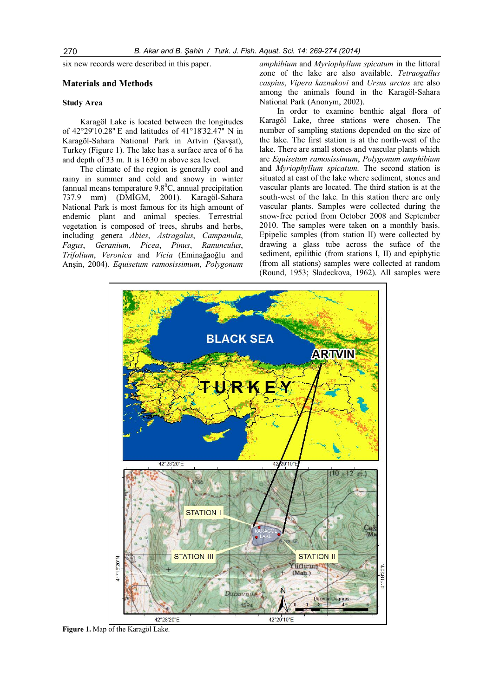six new records were described in this paper.

# Materials and Methods

#### Study Area

Karagöl Lake is located between the longitudes of 42°29'10.28'' E and latitudes of 41°18'32.47'' N in Karagöl-Sahara National Park in Artvin (Şavşat), Turkey (Figure 1). The lake has a surface area of 6 ha and depth of 33 m. It is 1630 m above sea level.

The climate of the region is generally cool and rainy in summer and cold and snowy in winter (annual means temperature  $9.8^{\circ}$ C, annual precipitation 737.9 mm) (DMİGM, 2001). Karagöl-Sahara National Park is most famous for its high amount of endemic plant and animal species. Terrestrial vegetation is composed of trees, shrubs and herbs, including genera Abies, Astragalus, Campanula, Fagus, Geranium, Picea, Pinus, Ranunculus, Trifolium, Veronica and Vicia (Eminağaoğlu and Anşin, 2004). Equisetum ramosissimum, Polygonum

amphibium and Myriophyllum spicatum in the littoral zone of the lake are also available. Tetraogallus caspius, Vipera kaznakovi and Ursus arctos are also among the animals found in the Karagöl-Sahara National Park (Anonym, 2002).

In order to examine benthic algal flora of Karagöl Lake, three stations were chosen. The number of sampling stations depended on the size of the lake. The first station is at the north-west of the lake. There are small stones and vascular plants which are Equisetum ramosissimum, Polygonum amphibium and Myriophyllum spicatum. The second station is situated at east of the lake where sediment, stones and vascular plants are located. The third station is at the south-west of the lake. In this station there are only vascular plants. Samples were collected during the snow-free period from October 2008 and September 2010. The samples were taken on a monthly basis. Epipelic samples (from station II) were collected by drawing a glass tube across the suface of the sediment, epilithic (from stations I, II) and epiphytic (from all stations) samples were collected at random (Round, 1953; Sladeckova, 1962). All samples were



Figure 1. Map of the Karagöl Lake.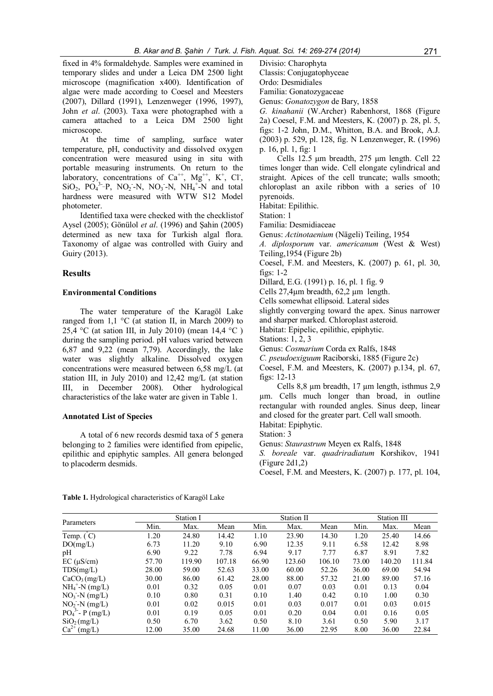fixed in 4% formaldehyde. Samples were examined in temporary slides and under a Leica DM 2500 light microscope (magnification x400). Identification of algae were made according to Coesel and Meesters (2007), Dillard (1991), Lenzenweger (1996, 1997), John et al. (2003). Taxa were photographed with a camera attached to a Leica DM 2500 light microscope.

At the time of sampling, surface water temperature, pH, conductivity and dissolved oxygen concentration were measured using in situ with portable measuring instruments. On return to the laboratory, concentrations of  $Ca^{++}$ ,  $Mg^{++}$ ,  $K^+$ , Cl,  $SiO_2$ ,  $PO_4^3$ -P,  $NO_2$ -N,  $NO_3$ -N,  $NH_4$ <sup>+</sup>-N and total hardness were measured with WTW S12 Model photometer.

Identified taxa were checked with the checklistof Aysel (2005); Gönülol et al. (1996) and Şahin (2005) determined as new taxa for Turkish algal flora. Taxonomy of algae was controlled with Guiry and Guiry (2013).

#### Results

# Environmental Conditions

The water temperature of the Karagöl Lake ranged from 1,1  $\degree$ C (at station II, in March 2009) to 25,4 °C (at sation III, in July 2010) (mean  $14.4$  °C) during the sampling period. pH values varied between 6,87 and 9,22 (mean 7,79). Accordingly, the lake water was slightly alkaline. Dissolved oxygen concentrations were measured between 6,58 mg/L (at station III, in July 2010) and 12,42 mg/L (at station III, in December 2008). Other hydrological characteristics of the lake water are given in Table 1.

#### Annotated List of Species

A total of 6 new records desmid taxa of 5 genera belonging to 2 families were identified from epipelic, epilithic and epiphytic samples. All genera belonged to placoderm desmids.

Divisio: Charophyta

Classis: Conjugatophyceae

Ordo: Desmidiales

Familia: Gonatozygaceae

Genus: Gonatozygon de Bary, 1858

G. kinahanii (W.Archer) Rabenhorst, 1868 (Figure 2a) Coesel, F.M. and Meesters, K. (2007) p. 28, pl. 5, figs: 1-2 John, D.M., Whitton, B.A. and Brook, A.J. (2003) p. 529, pl. 128, fig. N Lenzenweger, R. (1996) p. 16, pl. 1, fig: 1

Cells 12.5 μm breadth, 275 μm length. Cell 22 times longer than wide. Cell elongate cylindrical and straight. Apices of the cell truncate; walls smooth; chloroplast an axile ribbon with a series of 10 pyrenoids.

Habitat: Epilithic.

Station: 1

Familia: Desmidiaceae

Genus: Actinotaenium (Nägeli) Teiling, 1954

A. diplosporum var. americanum (West & West) Teiling,1954 (Figure 2b)

Coesel, F.M. and Meesters, K. (2007) p. 61, pl. 30, figs: 1-2

Dillard, E.G. (1991) p. 16, pl. 1 fig. 9

Cells 27,4µm breadth, 62,2 µm length.

Cells somewhat ellipsoid. Lateral sides

slightly converging toward the apex. Sinus narrower

and sharper marked. Chloroplast asteroid.

Habitat: Epipelic, epilithic, epiphytic.

Stations: 1, 2, 3

Genus: Cosmarium Corda ex Ralfs, 1848

C. pseudoexiguum Raciborski, 1885 (Figure 2c)

Coesel, F.M. and Meesters, K. (2007) p.134, pl. 67, figs: 12-13

Cells 8,8 µm breadth, 17 µm length, isthmus 2,9 µm. Cells much longer than broad, in outline rectangular with rounded angles. Sinus deep, linear and closed for the greater part. Cell wall smooth.

Habitat: Epiphytic.

Station: 3

Genus: Staurastrum Meyen ex Ralfs, 1848

S. boreale var. quadriradiatum Korshikov, 1941 (Figure 2d1,2)

Coesel, F.M. and Meesters, K. (2007) p. 177, pl. 104,

Table 1. Hydrological characteristics of Karagöl Lake

| Parameters                    | Station I |        |        | Station II |        |        | Station III |        |        |
|-------------------------------|-----------|--------|--------|------------|--------|--------|-------------|--------|--------|
|                               | Min.      | Max.   | Mean   | Min.       | Max.   | Mean   | Min.        | Max.   | Mean   |
| Temp. $\binom{°}{ }$          | 1.20      | 24.80  | 14.42  | 1.10       | 23.90  | 14.30  | 1.20        | 25.40  | 14.66  |
| DO(mg/L)                      | 6.73      | 11.20  | 9.10   | 6.90       | 12.35  | 9.11   | 6.58        | 12.42  | 8.98   |
| pH                            | 6.90      | 9.22   | 7.78   | 6.94       | 9.17   | 7.77   | 6.87        | 8.91   | 7.82   |
| $EC (\mu S/cm)$               | 57.70     | 119.90 | 107.18 | 66.90      | 123.60 | 106.10 | 73.00       | 140.20 | 111.84 |
| TDS(mg/L)                     | 28.00     | 59.00  | 52.63  | 33.00      | 60.00  | 52.26  | 36.00       | 69.00  | 54.94  |
| CaCO <sub>3</sub> (mg/L)      | 30.00     | 86.00  | 61.42  | 28.00      | 88.00  | 57.32  | 21.00       | 89.00  | 57.16  |
| $NH_4$ <sup>+</sup> -N (mg/L) | 0.01      | 0.32   | 0.05   | 0.01       | 0.07   | 0.03   | 0.01        | 0.13   | 0.04   |
| $NO_3-N$ (mg/L)               | 0.10      | 0.80   | 0.31   | 0.10       | 1.40   | 0.42   | 0.10        | 1.00   | 0.30   |
| $NO2 - N (mg/L)$              | 0.01      | 0.02   | 0.015  | 0.01       | 0.03   | 0.017  | 0.01        | 0.03   | 0.015  |
| $PO_4^3$ - P (mg/L)           | 0.01      | 0.19   | 0.05   | 0.01       | 0.20   | 0.04   | 0.01        | 0.16   | 0.05   |
| SiO <sub>2</sub> (mg/L)       | 0.50      | 6.70   | 3.62   | 0.50       | 8.10   | 3.61   | 0.50        | 5.90   | 3.17   |
| $Ca^{2+}$<br>(mg/L)           | 12.00     | 35.00  | 24.68  | 11.00      | 36.00  | 22.95  | 8.00        | 36.00  | 22.84  |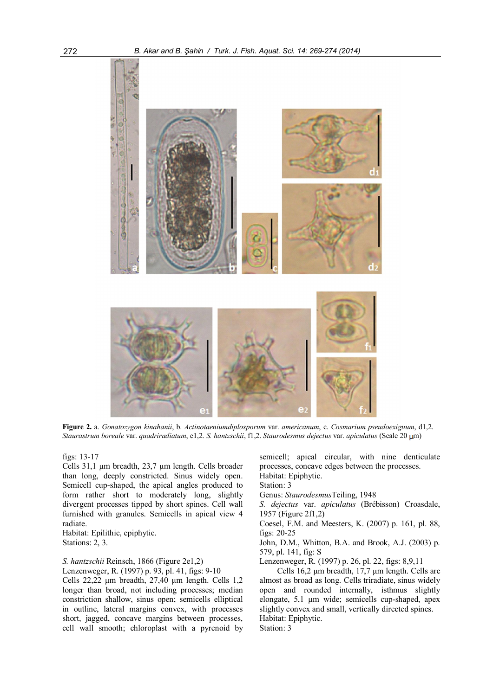

Figure 2. a. Gonatozygon kinahanii, b. Actinotaeniumdiplosporum var. americanum, c. Cosmarium pseudoexiguum, d1,2. Staurastrum boreale var. quadriradiatum, e1,2. S. hantzschii, f1,2. Staurodesmus dejectus var. apiculatus (Scale 20 µm)

figs: 13-17

Cells 31,1 µm breadth, 23,7 µm length. Cells broader than long, deeply constricted. Sinus widely open. Semicell cup-shaped, the apical angles produced to form rather short to moderately long, slightly divergent processes tipped by short spines. Cell wall furnished with granules. Semicells in apical view 4 radiate.

Habitat: Epilithic, epiphytic. Stations: 2, 3.

# S. hantzschii Reinsch, 1866 (Figure 2e1,2)

Lenzenweger, R. (1997) p. 93, pl. 41, figs: 9-10

Cells 22,22 µm breadth, 27,40 µm length. Cells 1,2 longer than broad, not including processes; median constriction shallow, sinus open; semicells elliptical in outline, lateral margins convex, with processes short, jagged, concave margins between processes, cell wall smooth; chloroplast with a pyrenoid by

semicell; apical circular, with nine denticulate processes, concave edges between the processes. Habitat: Epiphytic.

Station: 3

Genus: StaurodesmusTeiling, 1948

S. dejectus var. apiculatus (Brébisson) Croasdale, 1957 (Figure 2f1,2)

Coesel, F.M. and Meesters, K. (2007) p. 161, pl. 88, figs: 20-25

John, D.M., Whitton, B.A. and Brook, A.J. (2003) p. 579, pl. 141, fig: S

Lenzenweger, R. (1997) p. 26, pl. 22, figs: 8,9,11

Cells 16,2 µm breadth, 17,7 µm length. Cells are almost as broad as long. Cells triradiate, sinus widely open and rounded internally, isthmus slightly elongate, 5,1 µm wide; semicells cup-shaped, apex slightly convex and small, vertically directed spines. Habitat: Epiphytic. Station: 3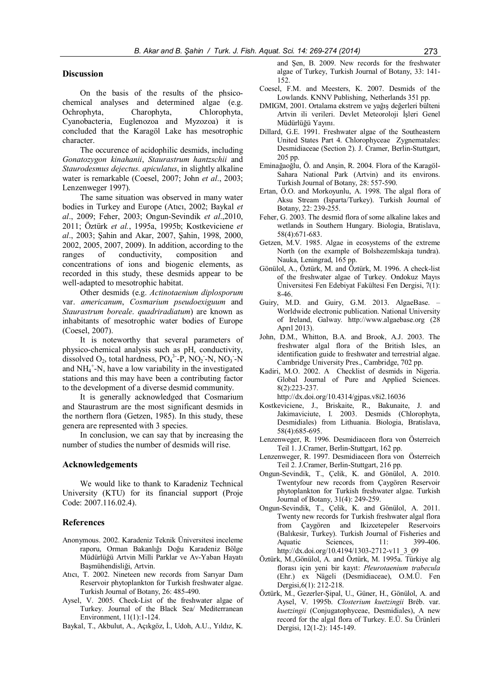### **Discussion**

On the basis of the results of the phsicochemical analyses and determined algae (e.g. Ochrophyta, Charophyta, Chlorophyta, Cyanobacteria, Euglenozoa and Myzozoa) it is concluded that the Karagöl Lake has mesotrophic character.

The occurence of acidophilic desmids, including Gonatozygon kinahanii, Staurastrum hantzschii and Staurodesmus dejectus. apiculatus, in slightly alkaline water is remarkable (Coesel, 2007; John *et al.*, 2003; Lenzenweger 1997).

The same situation was observed in many water bodies in Turkey and Europe (Atıcı, 2002; Baykal et al., 2009; Feher, 2003; Ongun-Sevindik et al.,2010, 2011; Öztürk et al., 1995a, 1995b; Kostkeviciene et al., 2003; Şahin and Akar, 2007, Şahin, 1998, 2000, 2002, 2005, 2007, 2009). In addition, according to the ranges of conductivity, composition and concentrations of ions and biogenic elements, as recorded in this study, these desmids appear to be well-adapted to mesotrophic habitat.

Other desmids (e.g. Actinotaenium diplosporum var. americanum, Cosmarium pseudoexiguum and Staurastrum boreale. quadriradiatum) are known as inhabitants of mesotrophic water bodies of Europe (Coesel, 2007).

It is noteworthy that several parameters of physico-chemical analysis such as pH, conductivity, dissolved  $O_2$ , total hardness,  $PO_4^3$ -P,  $NO_2$ -N,  $NO_3$ -N and  $NH_4^+$ -N, have a low variability in the investigated stations and this may have been a contributing factor to the development of a diverse desmid community.

It is generally acknowledged that Cosmarium and Staurastrum are the most significant desmids in the northern flora (Getzen, 1985). In this study, these genera are represented with 3 species.

In conclusion, we can say that by increasing the number of studies the number of desmids will rise.

# Acknowledgements

We would like to thank to Karadeniz Technical University (KTU) for its financial support (Proje Code: 2007.116.02.4).

# References

- Anonymous. 2002. Karadeniz Teknik Üniversitesi inceleme raporu, Orman Bakanlığı Doğu Karadeniz Bölge Müdürlüğü Artvin Milli Parklar ve Av-Yaban Hayatı Başmühendisliği, Artvin.
- Atıcı, T. 2002. Nineteen new records from Sarıyar Dam Reservoir phytoplankton for Turkish freshwater algae. Turkish Journal of Botany, 26: 485-490.
- Aysel, V. 2005. Check-List of the freshwater algae of Turkey. Journal of the Black Sea/ Mediterranean Environment, 11(1):1-124.
- Baykal, T., Akbulut, A., Açıkgöz, İ., Udoh, A.U., Yıldız, K.

and Şen, B. 2009. New records for the freshwater algae of Turkey, Turkish Journal of Botany, 33: 141- 152.

- Coesel, F.M. and Meesters, K. 2007. Desmids of the Lowlands. KNNV Publishing, Netherlands 351 pp.
- DMIGM, 2001. Ortalama ekstrem ve yağış değerleri bülteni Artvin ili verileri. Devlet Meteoroloji İşleri Genel Müdürlüğü Yayını.
- Dillard, G.E. 1991. Freshwater algae of the Southeastern United States Part 4. Chlorophyceae Zygnematales: Desmidiaceae (Section 2). J. Cramer, Berlin-Stuttgart, 205 pp.
- Eminağaoğlu, Ö. and Anşin, R. 2004. Flora of the Karagöl-Sahara National Park (Artvin) and its environs. Turkish Journal of Botany, 28: 557-590.
- Ertan, Ö.O. and Morkoyunlu, A. 1998. The algal flora of Aksu Stream (Isparta/Turkey). Turkish Journal of Botany, 22: 239-255.
- Feher, G. 2003. The desmid flora of some alkaline lakes and wetlands in Southern Hungary. Biologia, Bratislava, 58(4):671-683.
- Getzen, M.V. 1985. Algae in ecosystems of the extreme North (on the example of Bolshezemlskaja tundra). Nauka, Leningrad, 165 pp.
- Gönülol, A., Öztürk, M. and Öztürk, M. 1996. A check-list of the freshwater algae of Turkey. Ondokuz Mayıs Üniversitesi Fen Edebiyat Fakültesi Fen Dergisi, 7(1): 8-46.
- Guiry, M.D. and Guiry, G.M. 2013. AlgaeBase. Worldwide electronic publication. National University of Ireland, Galway. http://www.algaebase.org (28 Aprıl 2013).
- John, D.M., Whitton, B.A. and Brook, A.J. 2003. The freshwater algal flora of the British Isles, an identification guide to freshwater and terrestrial algae. Cambridge University Pres., Cambridge, 702 pp.
- Kadiri, M.O. 2002. A Checklist of desmids in Nigeria. Global Journal of Pure and Applied Sciences. 8(2):223-237.

http://dx.doi.org/10.4314/gjpas.v8i2.16036

- Kostkeviciene, J., Briskaite, R., Bakunaite, J. and Jakimaviciute, I. 2003. Desmids (Chlorophyta, Desmidiales) from Lithuania. Biologia, Bratislava, 58(4):685-695.
- Lenzenweger, R. 1996. Desmidiaceen flora von Österreich Teil 1. J.Cramer, Berlin-Stuttgart, 162 pp.
- Lenzenweger, R. 1997. Desmidiaceen flora von Österreich Teil 2. J.Cramer, Berlin-Stuttgart, 216 pp.
- Ongun-Sevindik, T., Çelik, K. and Gönülol, A. 2010. Twentyfour new records from Çaygören Reservoir phytoplankton for Turkish freshwater algae. Turkish Journal of Botany, 31(4): 249-259.
- Ongun-Sevindik, T., Çelik, K. and Gönülol, A. 2011. Twenty new records for Turkish freshwater algal flora from Çaygören and Ikizcetepeler Reservoirs (Balıkesir, Turkey). Turkish Journal of Fisheries and Aquatic Sciences, 11: 399-406. http://dx.doi.org/10.4194/1303-2712-v11\_3\_09
- Öztürk, M.,Gönülol, A. and Öztürk, M. 1995a. Türkiye alg florası için yeni bir kayıt: Pleurotaenium trabecula (Ehr.) ex Nägeli (Desmidiaceae), O.M.Ü. Fen Dergisi,6(1): 212-218.
- Öztürk, M., Gezerler-Şipal, U., Güner, H., Gönülol, A. and Aysel, V. 1995b. Closterium kuetzingii Bréb. var. kuetzingii (Conjugatophyceae, Desmidiales), A new record for the algal flora of Turkey. E.Ü. Su Ürünleri Dergisi, 12(1-2): 145-149.